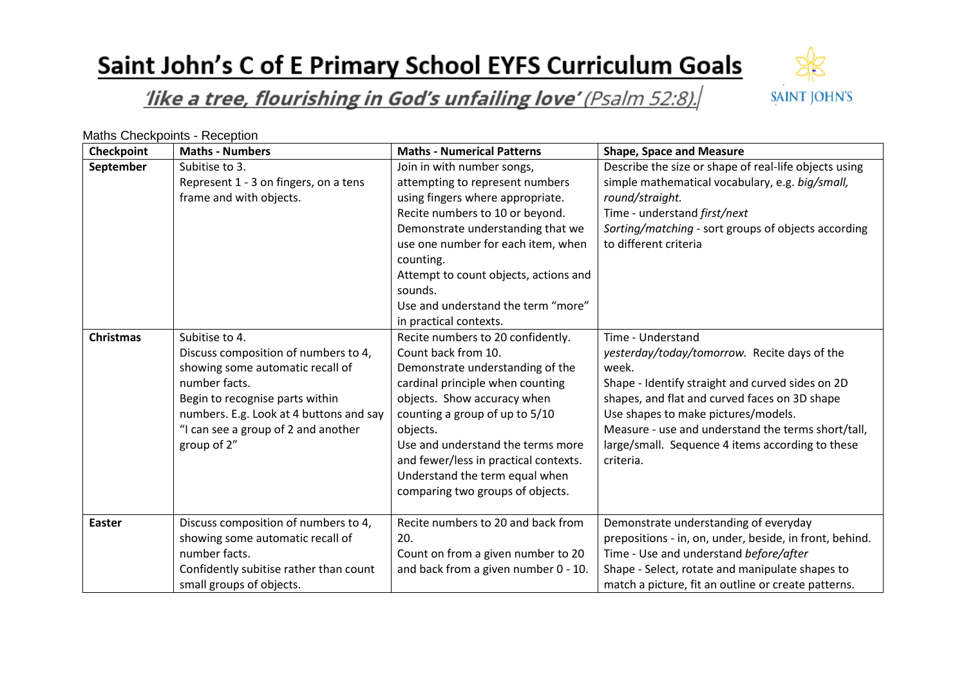# Saint John's C of E Primary School EYFS Curriculum Goals



#### like a tree, flourishing in God's unfailing love' (Psalm 52:8).

Maths Checkpoints - Reception

| Checkpoint       | <b>Maths - Numbers</b>                                                                                                                                                                                                                          | <b>Maths - Numerical Patterns</b>                                                                                                                                                                                                                                                                                                                                 | <b>Shape, Space and Measure</b>                                                                                                                                                                                                                                                                                                               |
|------------------|-------------------------------------------------------------------------------------------------------------------------------------------------------------------------------------------------------------------------------------------------|-------------------------------------------------------------------------------------------------------------------------------------------------------------------------------------------------------------------------------------------------------------------------------------------------------------------------------------------------------------------|-----------------------------------------------------------------------------------------------------------------------------------------------------------------------------------------------------------------------------------------------------------------------------------------------------------------------------------------------|
| September        | Subitise to 3.<br>Represent 1 - 3 on fingers, on a tens<br>frame and with objects.                                                                                                                                                              | Join in with number songs,<br>attempting to represent numbers<br>using fingers where appropriate.<br>Recite numbers to 10 or beyond.<br>Demonstrate understanding that we<br>use one number for each item, when<br>counting.<br>Attempt to count objects, actions and<br>sounds.<br>Use and understand the term "more"<br>in practical contexts.                  | Describe the size or shape of real-life objects using<br>simple mathematical vocabulary, e.g. big/small,<br>round/straight.<br>Time - understand first/next<br>Sorting/matching - sort groups of objects according<br>to different criteria                                                                                                   |
| <b>Christmas</b> | Subitise to 4.<br>Discuss composition of numbers to 4,<br>showing some automatic recall of<br>number facts.<br>Begin to recognise parts within<br>numbers. E.g. Look at 4 buttons and say<br>"I can see a group of 2 and another<br>group of 2" | Recite numbers to 20 confidently.<br>Count back from 10.<br>Demonstrate understanding of the<br>cardinal principle when counting<br>objects. Show accuracy when<br>counting a group of up to 5/10<br>objects.<br>Use and understand the terms more<br>and fewer/less in practical contexts.<br>Understand the term equal when<br>comparing two groups of objects. | Time - Understand<br>yesterday/today/tomorrow. Recite days of the<br>week.<br>Shape - Identify straight and curved sides on 2D<br>shapes, and flat and curved faces on 3D shape<br>Use shapes to make pictures/models.<br>Measure - use and understand the terms short/tall,<br>large/small. Sequence 4 items according to these<br>criteria. |
| <b>Easter</b>    | Discuss composition of numbers to 4,<br>showing some automatic recall of<br>number facts.<br>Confidently subitise rather than count<br>small groups of objects.                                                                                 | Recite numbers to 20 and back from<br>20.<br>Count on from a given number to 20<br>and back from a given number 0 - 10.                                                                                                                                                                                                                                           | Demonstrate understanding of everyday<br>prepositions - in, on, under, beside, in front, behind.<br>Time - Use and understand before/after<br>Shape - Select, rotate and manipulate shapes to<br>match a picture, fit an outline or create patterns.                                                                                          |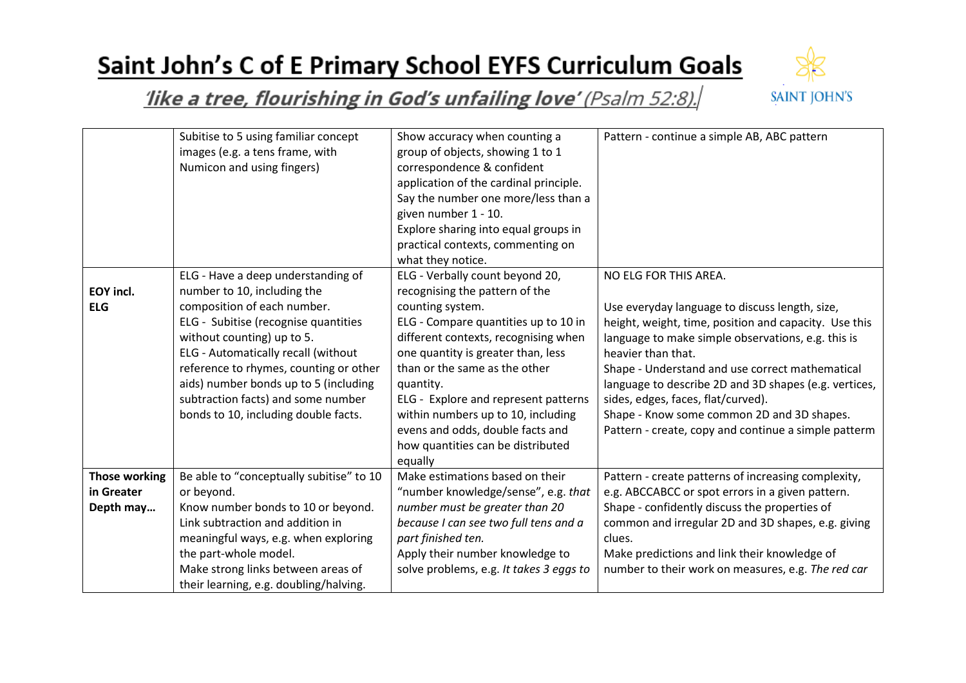## Saint John's C of E Primary School EYFS Curriculum Goals



#### like a tree, flourishing in God's unfailing love' (Psalm 52:8).

|                         | Subitise to 5 using familiar concept<br>images (e.g. a tens frame, with<br>Numicon and using fingers)                                                                                                                                                                                                                                                                          | Show accuracy when counting a<br>group of objects, showing 1 to 1<br>correspondence & confident<br>application of the cardinal principle.<br>Say the number one more/less than a<br>given number 1 - 10.<br>Explore sharing into equal groups in<br>practical contexts, commenting on<br>what they notice.                                                                                                                  | Pattern - continue a simple AB, ABC pattern                                                                                                                                                                                                                                                                                                                                                                                                                          |
|-------------------------|--------------------------------------------------------------------------------------------------------------------------------------------------------------------------------------------------------------------------------------------------------------------------------------------------------------------------------------------------------------------------------|-----------------------------------------------------------------------------------------------------------------------------------------------------------------------------------------------------------------------------------------------------------------------------------------------------------------------------------------------------------------------------------------------------------------------------|----------------------------------------------------------------------------------------------------------------------------------------------------------------------------------------------------------------------------------------------------------------------------------------------------------------------------------------------------------------------------------------------------------------------------------------------------------------------|
| EOY incl.<br><b>ELG</b> | ELG - Have a deep understanding of<br>number to 10, including the<br>composition of each number.<br>ELG - Subitise (recognise quantities<br>without counting) up to 5.<br>ELG - Automatically recall (without<br>reference to rhymes, counting or other<br>aids) number bonds up to 5 (including<br>subtraction facts) and some number<br>bonds to 10, including double facts. | ELG - Verbally count beyond 20,<br>recognising the pattern of the<br>counting system.<br>ELG - Compare quantities up to 10 in<br>different contexts, recognising when<br>one quantity is greater than, less<br>than or the same as the other<br>quantity.<br>ELG - Explore and represent patterns<br>within numbers up to 10, including<br>evens and odds, double facts and<br>how quantities can be distributed<br>equally | NO ELG FOR THIS AREA.<br>Use everyday language to discuss length, size,<br>height, weight, time, position and capacity. Use this<br>language to make simple observations, e.g. this is<br>heavier than that.<br>Shape - Understand and use correct mathematical<br>language to describe 2D and 3D shapes (e.g. vertices,<br>sides, edges, faces, flat/curved).<br>Shape - Know some common 2D and 3D shapes.<br>Pattern - create, copy and continue a simple patterm |
| <b>Those working</b>    | Be able to "conceptually subitise" to 10                                                                                                                                                                                                                                                                                                                                       | Make estimations based on their                                                                                                                                                                                                                                                                                                                                                                                             | Pattern - create patterns of increasing complexity,                                                                                                                                                                                                                                                                                                                                                                                                                  |
| in Greater<br>Depth may | or beyond.<br>Know number bonds to 10 or beyond.                                                                                                                                                                                                                                                                                                                               | "number knowledge/sense", e.g. that<br>number must be greater than 20                                                                                                                                                                                                                                                                                                                                                       | e.g. ABCCABCC or spot errors in a given pattern.<br>Shape - confidently discuss the properties of                                                                                                                                                                                                                                                                                                                                                                    |
|                         | Link subtraction and addition in<br>meaningful ways, e.g. when exploring<br>the part-whole model.<br>Make strong links between areas of<br>their learning, e.g. doubling/halving.                                                                                                                                                                                              | because I can see two full tens and a<br>part finished ten.<br>Apply their number knowledge to<br>solve problems, e.g. It takes 3 eggs to                                                                                                                                                                                                                                                                                   | common and irregular 2D and 3D shapes, e.g. giving<br>clues.<br>Make predictions and link their knowledge of<br>number to their work on measures, e.g. The red car                                                                                                                                                                                                                                                                                                   |